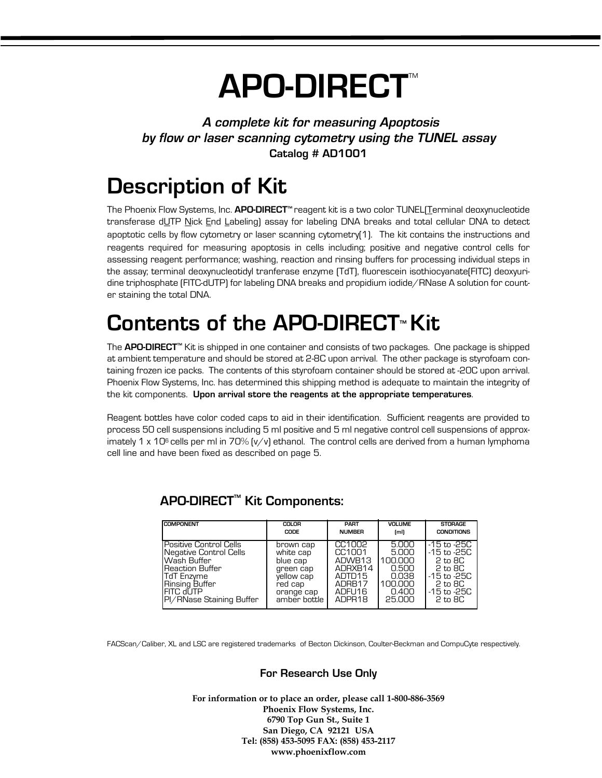# **APO-DIRECT™**

**A complete kit for measuring Apoptosis by flow or laser scanning cytometry using the TUNEL assay Catalog # AD1001**

# **Description of Kit**

The Phoenix Flow Systems, Inc. **APO-DIRECT™** reagent kit is a two color TUNEL(Terminal deoxynucleotide transferase dUTP Nick End Labeling) assay for labeling DNA breaks and total cellular DNA to detect apoptotic cells by flow cytometry or laser scanning cytometry(1). The kit contains the instructions and reagents required for measuring apoptosis in cells including; positive and negative control cells for assessing reagent performance; washing, reaction and rinsing buffers for processing individual steps in the assay; terminal deoxynucleotidyl tranferase enzyme (TdT), fluorescein isothiocyanate(FITC) deoxyuridine triphosphate (FITC-dUTP) for labeling DNA breaks and propidium iodide/RNase A solution for counter staining the total DNA.

# Contents of the APO-DIRECT<sup>®</sup> Kit

The **APO-DIRECT<sup>™</sup> Kit is shipped in one container and consists of two packages. One package is shipped** at ambient temperature and should be stored at 2-8C upon arrival. The other package is styrofoam containing frozen ice packs. The contents of this styrofoam container should be stored at -20C upon arrival. Phoenix Flow Systems, Inc. has determined this shipping method is adequate to maintain the integrity of the kit components. **Upon arrival store the reagents at the appropriate temperatures**.

Reagent bottles have color coded caps to aid in their identification. Sufficient reagents are provided to process 50 cell suspensions including 5 ml positive and 5 ml negative control cell suspensions of approximately 1 x 10<sup>6</sup> cells per ml in 70% (v/v) ethanol. The control cells are derived from a human lymphoma cell line and have been fixed as described on page 5.

| <b>COMPONENT</b>         | <b>COLOR</b> | <b>PART</b>   | <b>VOLUME</b> | <b>STORAGE</b>    |
|--------------------------|--------------|---------------|---------------|-------------------|
|                          | CODE         | <b>NUMBER</b> | [ml]          | <b>CONDITIONS</b> |
| Positive Control Cells   | brown cap    | CC1002        | 5.000         | -15 to -25C       |
| lNegative Control Cells  | white cap    | CC1001        | 5.000         | -15 to -25C       |
| Wash Buffer              | blue cap     | ADWB13        | 100.000       | 2 to 8C           |
| lReaction Buffer         | green cap    | ADRXB14       | 0.500         | 2 to 8C           |
| <b>TdT</b> Enzyme        | yellow cap   | ADTD15        | 0.038         | -15 to -25C       |
| <b>Rinsing Buffer</b>    | red cap      | ADRB17        | 100,000       | 2 to 8C           |
| IFITC dUTP               | orange cap   | ADFU16        | 0.400         | -15 to -25C       |
| PI/RNase Staining Buffer | amber bottle | ADPR18        | 25,000        | 2 to 8C           |

### **APO-DIRECT<sup>™</sup> Kit Components:**

FACScan/Caliber, XL and LSC are registered trademarks of Becton Dickinson, Coulter-Beckman and CompuCyte respectively.

### **For Research Use Only**

**For information or to place an order, please call 1-800-886-3569 Phoenix Flow Systems, Inc. 6790 Top Gun St., Suite 1 San Diego, CA 92121 USA Tel: (858) 453-5095 FAX: (858) 453-2117 www.phoenixflow.com**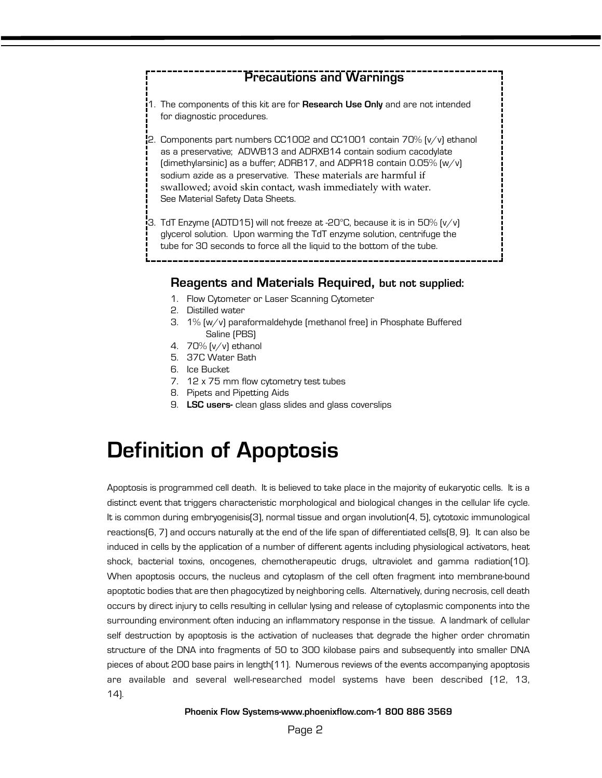### **Precautions and Warnings**

1. The components of this kit are for **Research Use Only** and are not intended for diagnostic procedures.

 $2$ . Components part numbers CC1002 and CC1001 contain 70% (v/v) ethanol as a preservative; ADWB13 and ADRXB14 contain sodium cacodylate (dimethylarsinic) as a buffer; ADRB17, and ADPR18 contain 0.05% (w/v) sodium azide as a preservative. These materials are harmful if swallowed; avoid skin contact, wash immediately with water. See Material Safety Data Sheets.

3. TdT Enzyme (ADTD15) will not freeze at -20°C, because it is in 50% (v/v) glycerol solution. Upon warming the TdT enzyme solution, centrifuge the tube for 30 seconds to force all the liquid to the bottom of the tube.

### **Reagents and Materials Required, but not supplied:**

- 1. Flow Cytometer or Laser Scanning Cytometer
- 2. Distilled water
- 3. 1% (w/v) paraformaldehyde (methanol free) in Phosphate Buffered Saline (PBS)
- 4. 70% (v/v) ethanol
- 5. 37C Water Bath
- 6. Ice Bucket
- 7. 12 x 75 mm flow cytometry test tubes
- 8. Pipets and Pipetting Aids
- 9. **LSC users-** clean glass slides and glass coverslips

# **Definition of Apoptosis**

Apoptosis is programmed cell death. It is believed to take place in the majority of eukaryotic cells. It is a distinct event that triggers characteristic morphological and biological changes in the cellular life cycle. It is common during embryogenisis(3), normal tissue and organ involution(4, 5), cytotoxic immunological reactions(6, 7) and occurs naturally at the end of the life span of differentiated cells(8, 9). It can also be induced in cells by the application of a number of different agents including physiological activators, heat shock, bacterial toxins, oncogenes, chemotherapeutic drugs, ultraviolet and gamma radiation(10). When apoptosis occurs, the nucleus and cytoplasm of the cell often fragment into membrane-bound apoptotic bodies that are then phagocytized by neighboring cells. Alternatively, during necrosis, cell death occurs by direct injury to cells resulting in cellular lysing and release of cytoplasmic components into the surrounding environment often inducing an inflammatory response in the tissue. A landmark of cellular self destruction by apoptosis is the activation of nucleases that degrade the higher order chromatin structure of the DNA into fragments of 50 to 300 kilobase pairs and subsequently into smaller DNA pieces of about 200 base pairs in length(11). Numerous reviews of the events accompanying apoptosis are available and several well-researched model systems have been described (12, 13, 14).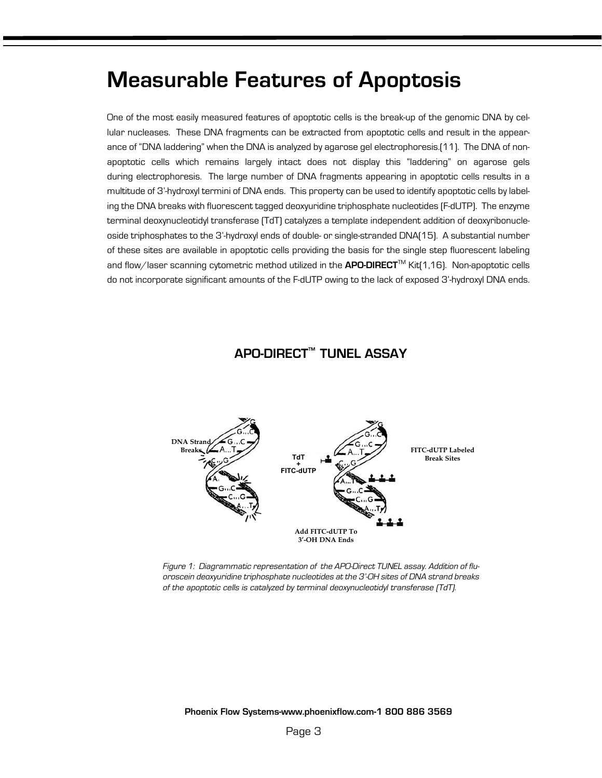## **Measurable Features of Apoptosis**

One of the most easily measured features of apoptotic cells is the break-up of the genomic DNA by cellular nucleases. These DNA fragments can be extracted from apoptotic cells and result in the appearance of "DNA laddering" when the DNA is analyzed by agarose gel electrophoresis.(11). The DNA of nonapoptotic cells which remains largely intact does not display this "laddering" on agarose gels during electrophoresis. The large number of DNA fragments appearing in apoptotic cells results in a multitude of 3'-hydroxyl termini of DNA ends. This property can be used to identify apoptotic cells by labeling the DNA breaks with fluorescent tagged deoxyuridine triphosphate nucleotides (F-dUTP). The enzyme terminal deoxynucleotidyl transferase (TdT) catalyzes a template independent addition of deoxyribonucleoside triphosphates to the 3'-hydroxyl ends of double- or single-stranded DNA(15). A substantial number of these sites are available in apoptotic cells providing the basis for the single step fluorescent labeling and flow/laser scanning cytometric method utilized in the **APO-DIRECT**TM Kit(1,16). Non-apoptotic cells do not incorporate significant amounts of the F-dUTP owing to the lack of exposed 3'-hydroxyl DNA ends.

### **APO-DIRECT™ TUNEL ASSAY**



Figure 1: Diagrammatic representation of the APO-Direct TUNEL assay. Addition of fluoroscein deoxyuridine triphosphate nucleotides at the 3'-OH sites of DNA strand breaks of the apoptotic cells is catalyzed by terminal deoxynucleotidyl transferase (TdT).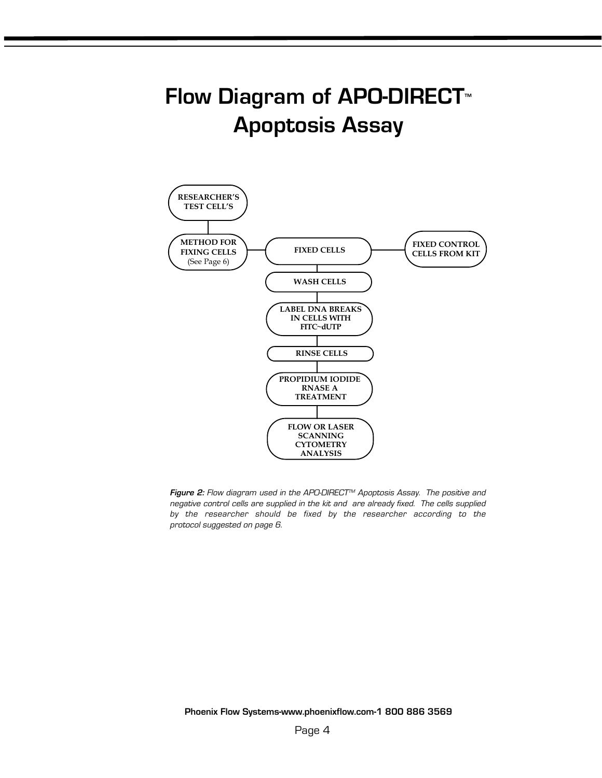# Flow Diagram of APO-DIRECT<sup>®</sup> **Apoptosis Assay**



**Figure 2:** Flow diagram used in the APO-DIRECT™ Apoptosis Assay. The positive and negative control cells are supplied in the kit and are already fixed. The cells supplied by the researcher should be fixed by the researcher according to the protocol suggested on page 6.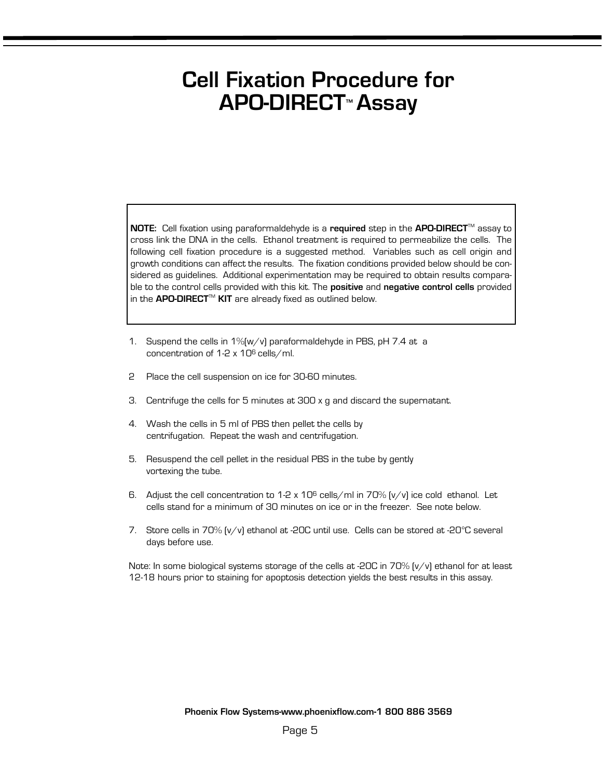## **Cell Fixation Procedure for APO-DIRECT<sup>™</sup> Assay**

**NOTE:** Cell fixation using paraformaldehyde is a **required** step in the **APO-DIRECT**<sup>™</sup> assay to cross link the DNA in the cells. Ethanol treatment is required to permeabilize the cells. The following cell fixation procedure is a suggested method. Variables such as cell origin and growth conditions can affect the results. The fixation conditions provided below should be considered as guidelines. Additional experimentation may be required to obtain results comparable to the control cells provided with this kit. The **positive** and **negative control cells** provided in the **APO-DIRECT**TM **KIT** are already fixed as outlined below.

- 1. Suspend the cells in 1%(w/v) paraformaldehyde in PBS, pH 7.4 at a concentration of 1-2 x 106 cells/ml.
- 2 Place the cell suspension on ice for 30-60 minutes.
- 3. Centrifuge the cells for 5 minutes at 300 x g and discard the supernatant.
- 4. Wash the cells in 5 ml of PBS then pellet the cells by centrifugation. Repeat the wash and centrifugation.
- 5. Resuspend the cell pellet in the residual PBS in the tube by gently vortexing the tube.
- 6. Adjust the cell concentration to 1-2 x 10<sup>6</sup> cells/ml in 70%  $[v/v]$  ice cold ethanol. Let cells stand for a minimum of 30 minutes on ice or in the freezer. See note below.
- 7. Store cells in 70% (v/v) ethanol at -20C until use. Cells can be stored at -20°C several days before use.

Note: In some biological systems storage of the cells at -20C in 70% (v/v) ethanol for at least 12-18 hours prior to staining for apoptosis detection yields the best results in this assay.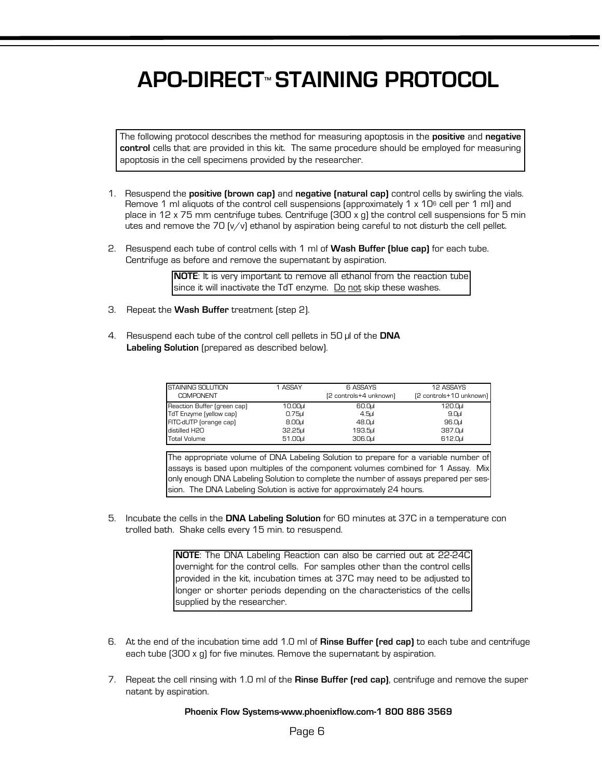# **APO-DIRECT<sup>™</sup> STAINING PROTOCOL**

The following protocol describes the method for measuring apoptosis in the **positive** and **negative control** cells that are provided in this kit. The same procedure should be employed for measuring apoptosis in the cell specimens provided by the researcher.

- 1. Resuspend the **positive (brown cap)** and **negative (natural cap)** control cells by swirling the vials. Remove 1 ml aliquots of the control cell suspensions (approximately 1 x 106 cell per 1 ml) and place in 12 x 75 mm centrifuge tubes. Centrifuge (300 x g) the control cell suspensions for 5 min utes and remove the 70 (v/v) ethanol by aspiration being careful to not disturb the cell pellet.
- 2. Resuspend each tube of control cells with 1 ml of **Wash Buffer (blue cap)** for each tube. Centrifuge as before and remove the supernatant by aspiration.

**NOTE**: It is very important to remove all ethanol from the reaction tube since it will inactivate the TdT enzyme. <u>Do not</u> skip these washes.

- 3. Repeat the **Wash Buffer** treatment (step 2).
- 4. Resuspend each tube of the control cell pellets in 50 µl of the **DNA Labeling Solution** (prepared as described below).

| <b>ISTAINING SOLUTION</b><br><b>COMPONENT</b> | 1 ASSAY   | 6 ASSAYS<br>(2 controls+4 unknown) | 12 ASSAYS<br>[2 controls+10 unknown] |
|-----------------------------------------------|-----------|------------------------------------|--------------------------------------|
| Reaction Buffer (green cap)                   | 10.00ul   | 60.0ul                             | 120.0ul                              |
| TdT Enzyme (yellow cap)                       | $0.75$ ul | 4.5ul                              | 9.0 <sub>u</sub>                     |
| FITC-dUTP (orange cap)                        | 8.00ul    | 48.0ul                             | 96.0ul                               |
| distilled H2O                                 | 32.25µ    | 193.5µl                            | 387.0ul                              |
| Total Volume                                  | 51.00ul   | 306.0ul                            | 612.0ul                              |

The appropriate volume of DNA Labeling Solution to prepare for a variable number of assays is based upon multiples of the component volumes combined for 1 Assay. Mix only enough DNA Labeling Solution to complete the number of assays prepared per session. The DNA Labeling Solution is active for approximately 24 hours.

5. Incubate the cells in the **DNA Labeling Solution** for 60 minutes at 37C in a temperature con trolled bath. Shake cells every 15 min. to resuspend.

> **NOTE**: The DNA Labeling Reaction can also be carried out at 22-24C overnight for the control cells. For samples other than the control cells provided in the kit, incubation times at 37C may need to be adjusted to longer or shorter periods depending on the characteristics of the cells supplied by the researcher.

- 6. At the end of the incubation time add 1.0 ml of **Rinse Buffer (red cap)** to each tube and centrifuge each tube (300 x g) for five minutes. Remove the supernatant by aspiration.
- 7. Repeat the cell rinsing with 1.0 ml of the **Rinse Buffer (red cap)**, centrifuge and remove the super natant by aspiration.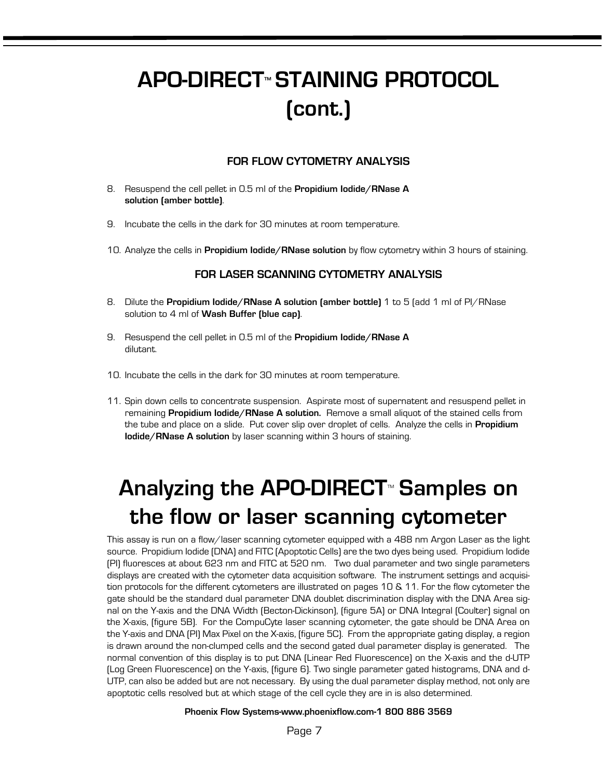# **APO-DIRECT<sup>™</sup> STAINING PROTOCOL (cont.)**

### **FOR FLOW CYTOMETRY ANALYSIS**

- 8. Resuspend the cell pellet in 0.5 ml of the **Propidium Iodide/RNase A solution (amber bottle)**.
- 9. Incubate the cells in the dark for 30 minutes at room temperature.
- 10. Analyze the cells in **Propidium Iodide/RNase solution** by flow cytometry within 3 hours of staining.

### **FOR LASER SCANNING CYTOMETRY ANALYSIS**

- 8. Dilute the **Propidium Iodide/RNase A solution (amber bottle)** 1 to 5 (add 1 ml of PI/RNase solution to 4 ml of **Wash Buffer (blue cap)**.
- 9. Resuspend the cell pellet in 0.5 ml of the **Propidium Iodide/RNase A**  dilutant.
- 10. Incubate the cells in the dark for 30 minutes at room temperature.
- 11. Spin down cells to concentrate suspension. Aspirate most of supernatent and resuspend pellet in remaining **Propidium Iodide/RNase A solution.** Remove a small aliquot of the stained cells from the tube and place on a slide. Put cover slip over droplet of cells. Analyze the cells in **Propidium Iodide/RNase A solution** by laser scanning within 3 hours of staining.

# **Analyzing the APO-DIRECT™ Samples on the flow or laser scanning cytometer**

This assay is run on a flow/laser scanning cytometer equipped with a 488 nm Argon Laser as the light source. Propidium Iodide (DNA) and FITC (Apoptotic Cells) are the two dyes being used. Propidium Iodide (PI) fluoresces at about 623 nm and FITC at 520 nm. Two dual parameter and two single parameters displays are created with the cytometer data acquisition software. The instrument settings and acquisition protocols for the different cytometers are illustrated on pages 10 & 11. For the flow cytometer the gate should be the standard dual parameter DNA doublet discrimination display with the DNA Area signal on the Y-axis and the DNA Width (Becton-Dickinson), (figure 5A) or DNA Integral (Coulter) signal on the X-axis, (figure 5B). For the CompuCyte laser scanning cytometer, the gate should be DNA Area on the Y-axis and DNA (PI) Max Pixel on the X-axis, (figure 5C). From the appropriate gating display, a region is drawn around the non-clumped cells and the second gated dual parameter display is generated. The normal convention of this display is to put DNA (Linear Red Fluorescence) on the X-axis and the d-UTP (Log Green Fluorescence) on the Y-axis, (figure 6). Two single parameter gated histograms, DNA and d-UTP, can also be added but are not necessary. By using the dual parameter display method, not only are apoptotic cells resolved but at which stage of the cell cycle they are in is also determined.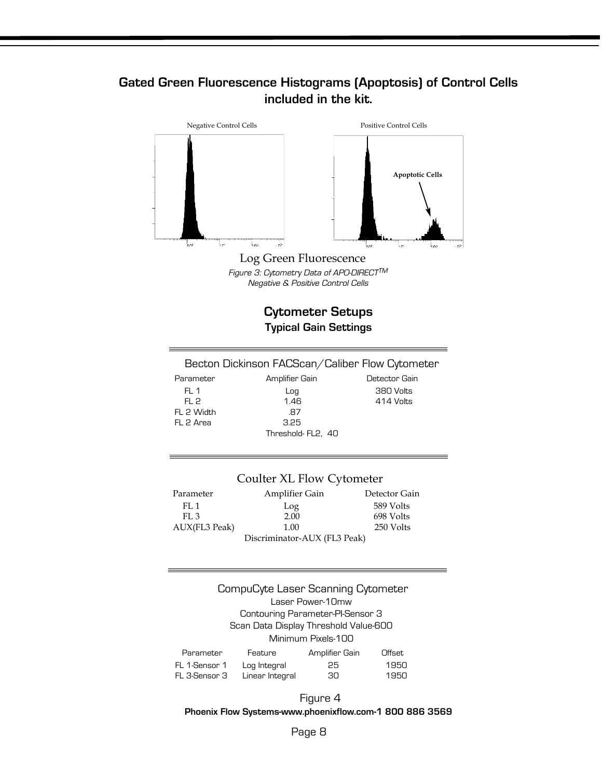### **Gated Green Fluorescence Histograms (Apoptosis) of Control Cells included in the kit.**





**Cytometer Setups Typical Gain Settings**

### Becton Dickinson FACScan/Caliber Flow Cytometer

| Parameter  | Amplifier Gain    | Detector Gain |
|------------|-------------------|---------------|
| $FI$ 1     | Log               | 380 Volts     |
| FI 2       | 1.46              | 414 Volts     |
| FL 2 Width | 87                |               |
| FL 2 Area  | 3.25              |               |
|            | Threshold-FL2, 40 |               |

### Coulter XL Flow Cytometer

| Parameter     | Amplifier Gain               | Detector Gain |
|---------------|------------------------------|---------------|
| FI.1          | Log                          | 589 Volts     |
| FL.3          | 2.00                         | 698 Volts     |
| AUX(FL3 Peak) | 1.00                         | 250 Volts     |
|               | Discriminator-AUX (FL3 Peak) |               |

### CompuCyte Laser Scanning Cytometer Laser Power-10mw Contouring Parameter-PI-Sensor 3

Scan Data Display Threshold Value-600

### Minimum Pixels-100

| Parameter     | Feature         | Amplifier Gain | Offset |
|---------------|-----------------|----------------|--------|
| FL 1-Sensor 1 | Log Integral    | 25             | 1950   |
| FL 3-Sensor 3 | Linear Integral | 30.            | 1950   |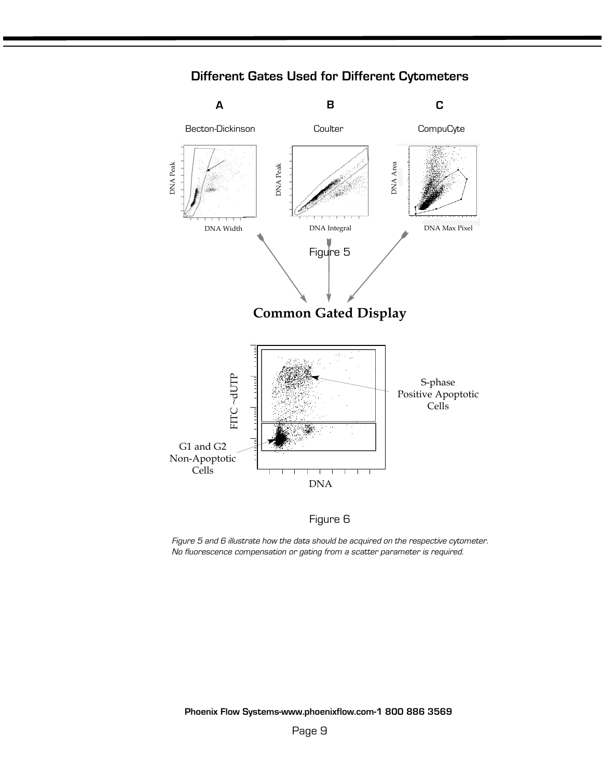

**Different Gates Used for Different Cytometers**

Figure 6

Figure 5 and 6 illustrate how the data should be acquired on the respective cytometer. No fluorescence compensation or gating from a scatter parameter is required.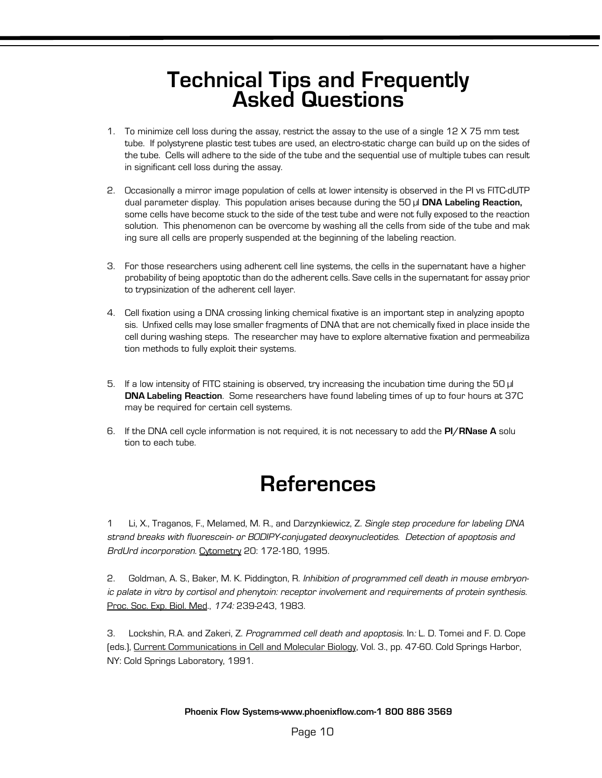# **Technical Tips and Frequently Asked Questions**

- 1. To minimize cell loss during the assay, restrict the assay to the use of a single 12 X 75 mm test tube. If polystyrene plastic test tubes are used, an electro-static charge can build up on the sides of the tube. Cells will adhere to the side of the tube and the sequential use of multiple tubes can result in significant cell loss during the assay.
- 2. Occasionally a mirror image population of cells at lower intensity is observed in the PI vs FITC-dUTP dual parameter display. This population arises because during the 50 µl **DNA Labeling Reaction,** some cells have become stuck to the side of the test tube and were not fully exposed to the reaction solution. This phenomenon can be overcome by washing all the cells from side of the tube and mak ing sure all cells are properly suspended at the beginning of the labeling reaction.
- 3. For those researchers using adherent cell line systems, the cells in the supernatant have a higher probability of being apoptotic than do the adherent cells. Save cells in the supernatant for assay prior to trypsinization of the adherent cell layer.
- 4. Cell fixation using a DNA crossing linking chemical fixative is an important step in analyzing apopto sis. Unfixed cells may lose smaller fragments of DNA that are not chemically fixed in place inside the cell during washing steps. The researcher may have to explore alternative fixation and permeabiliza tion methods to fully exploit their systems.
- 5. If a low intensity of FITC staining is observed, try increasing the incubation time during the 50 µl **DNA Labeling Reaction**. Some researchers have found labeling times of up to four hours at 37C may be required for certain cell systems.
- 6. If the DNA cell cycle information is not required, it is not necessary to add the **PI/RNase A** solu tion to each tube.

# **References**

1 Li, X., Traganos, F., Melamed, M. R., and Darzynkiewicz, Z. Single step procedure for labeling DNA strand breaks with fluorescein- or BODIPY-conjugated deoxynucleotides. Detection of apoptosis and BrdUrd incorporation. Cytometry 20: 172-180, 1995.

2. Goldman, A. S., Baker, M. K. Piddington, R. Inhibition of programmed cell death in mouse embryonic palate in vitro by cortisol and phenytoin: receptor involvement and requirements of protein synthesis. Proc. Soc. Exp. Biol. Med., 174: 239-243, 1983.

3. Lockshin, R.A. and Zakeri, Z. Programmed cell death and apoptosis. In: L. D. Tomei and F. D. Cope (eds.), Current Communications in Cell and Molecular Biology, Vol. 3., pp. 47-60. Cold Springs Harbor, NY: Cold Springs Laboratory, 1991.